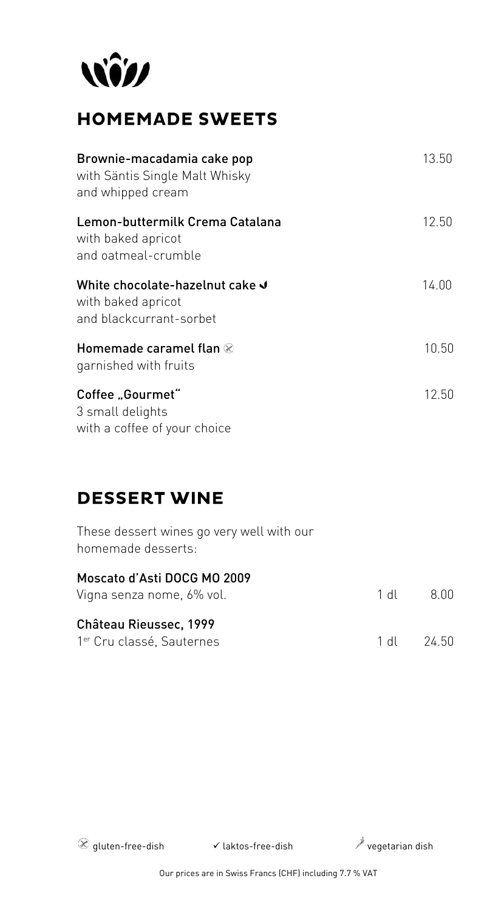

# **HOMEMADE SWEETS**

| Brownie-macadamia cake pop<br>with Säntis Single Malt Whisky<br>and whipped cream | 13.50 |
|-----------------------------------------------------------------------------------|-------|
| Lemon-buttermilk Crema Catalana<br>with baked apricot<br>and oatmeal-crumble      | 12.50 |
| White chocolate-hazelnut cake ↓<br>with baked apricot<br>and blackcurrant-sorbet  | 14.00 |
| Homemade caramel flan $\otimes$<br>garnished with fruits                          | 10.50 |
| Coffee "Gourmet"<br>3 small delights<br>with a coffee of your choice              | 12.50 |

### **DESSERT WINE**

| These dessert wines go very well with our<br>homemade desserts: |            |
|-----------------------------------------------------------------|------------|
| Moscato d'Asti DOCG MO 2009<br>Vigna senza nome, 6% vol.        | 1 dl 8.00  |
| Château Rieussec, 1999<br>1 <sup>er</sup> Cru classé, Sauternes | 1 dl 24.50 |

 $\circledR$  gluten-free-dish  $\checkmark$  laktos-free-dish  $\checkmark$  vegetarian dish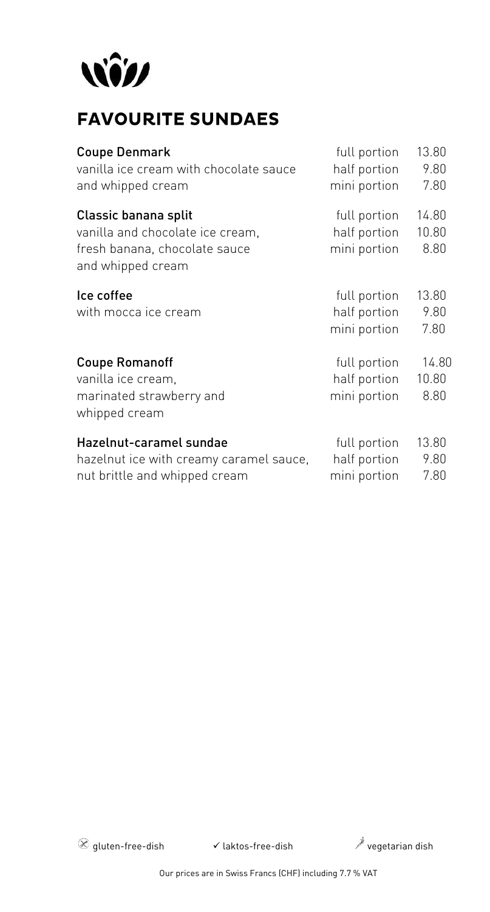

# **FAVOURITE SUNDAES**

| <b>Coupe Denmark</b>                               | full portion | 13.80 |
|----------------------------------------------------|--------------|-------|
| vanilla ice cream with chocolate sauce             | half portion | 9.80  |
| and whipped cream                                  | mini portion | 7.80  |
| Classic banana split                               | full portion | 14.80 |
| vanilla and chocolate ice cream,                   | half portion | 10.80 |
| fresh banana, chocolate sauce<br>and whipped cream | mini portion | 8.80  |
| Ice coffee                                         | full portion | 13.80 |
| with mocca ice cream                               | half portion | 9.80  |
|                                                    | mini portion | 7.80  |
| <b>Coupe Romanoff</b>                              | full portion | 14.80 |
| vanilla ice cream,                                 | half portion | 10.80 |
| marinated strawberry and<br>whipped cream          | mini portion | 8.80  |
| Hazelnut-caramel sundae                            | full portion | 13.80 |
| hazelnut ice with creamy caramel sauce,            | half portion | 9.80  |
| nut brittle and whipped cream                      | mini portion | 7.80  |

 $\circledR$  gluten-free-dish  $\checkmark$  laktos-free-dish  $\checkmark$  vegetarian dish